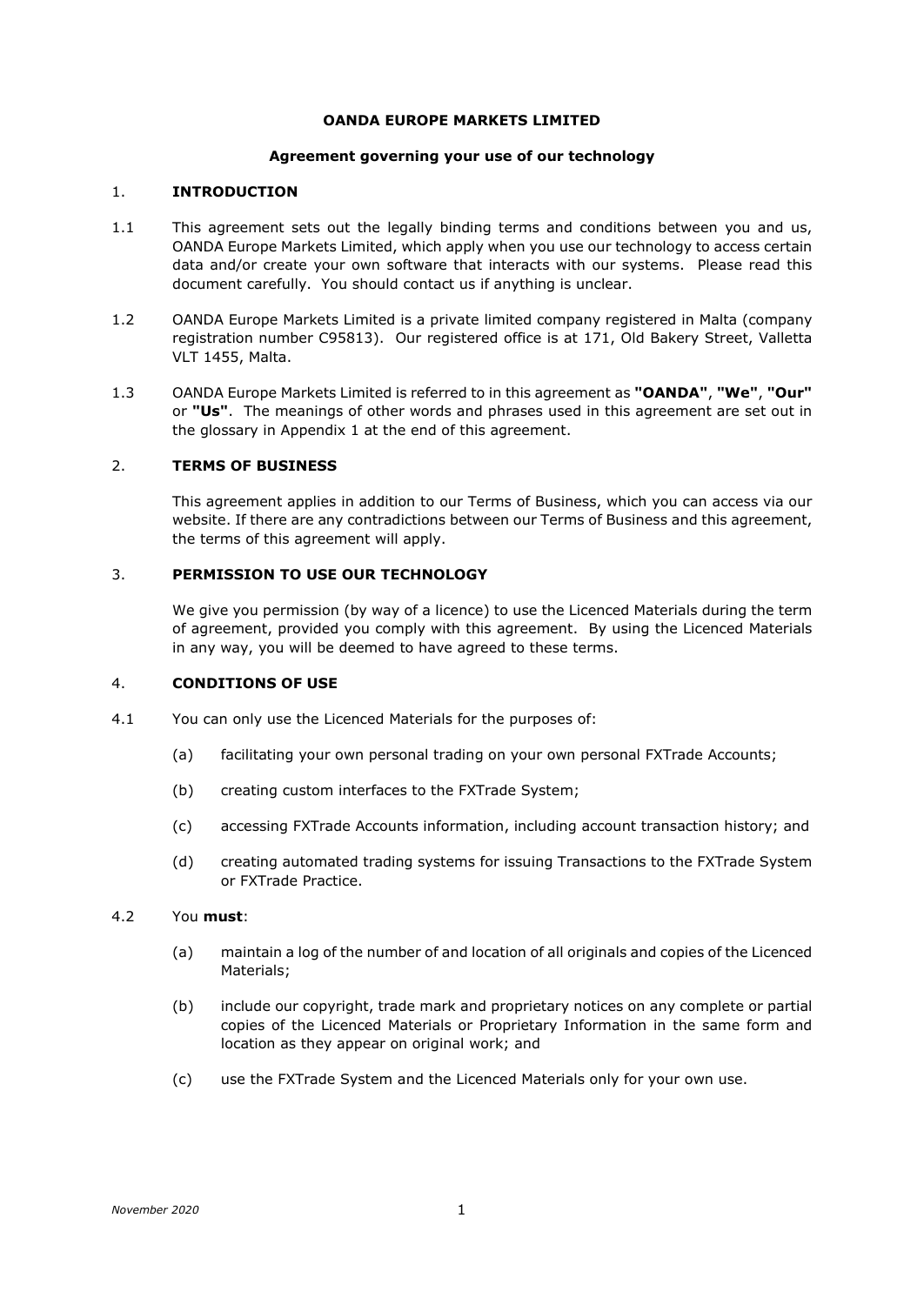### **OANDA EUROPE MARKETS LIMITED**

### **Agreement governing your use of our technology**

# 1. **INTRODUCTION**

- 1.1 This agreement sets out the legally binding terms and conditions between you and us, OANDA Europe Markets Limited, which apply when you use our technology to access certain data and/or create your own software that interacts with our systems. Please read this document carefully. You should contact us if anything is unclear.
- 1.2 OANDA Europe Markets Limited is a private limited company registered in Malta (company registration number C95813). Our registered office is at 171, Old Bakery Street, Valletta VLT 1455, Malta.
- 1.3 OANDA Europe Markets Limited is referred to in this agreement as **"OANDA"**, **"We"**, **"Our"** or **"Us"**. The meanings of other words and phrases used in this agreement are set out in the glossary in Appendix 1 at the end of this agreement.

## 2. **TERMS OF BUSINESS**

This agreement applies in addition to our Terms of Business, which you can access via our website. If there are any contradictions between our Terms of Business and this agreement, the terms of this agreement will apply.

## 3. **PERMISSION TO USE OUR TECHNOLOGY**

We give you permission (by way of a licence) to use the Licenced Materials during the term of agreement, provided you comply with this agreement. By using the Licenced Materials in any way, you will be deemed to have agreed to these terms.

#### 4. **CONDITIONS OF USE**

- 4.1 You can only use the Licenced Materials for the purposes of:
	- (a) facilitating your own personal trading on your own personal FXTrade Accounts;
	- (b) creating custom interfaces to the FXTrade System;
	- (c) accessing FXTrade Accounts information, including account transaction history; and
	- (d) creating automated trading systems for issuing Transactions to the FXTrade System or FXTrade Practice.

# 4.2 You **must**:

- (a) maintain a log of the number of and location of all originals and copies of the Licenced Materials;
- (b) include our copyright, trade mark and proprietary notices on any complete or partial copies of the Licenced Materials or Proprietary Information in the same form and location as they appear on original work; and
- (c) use the FXTrade System and the Licenced Materials only for your own use.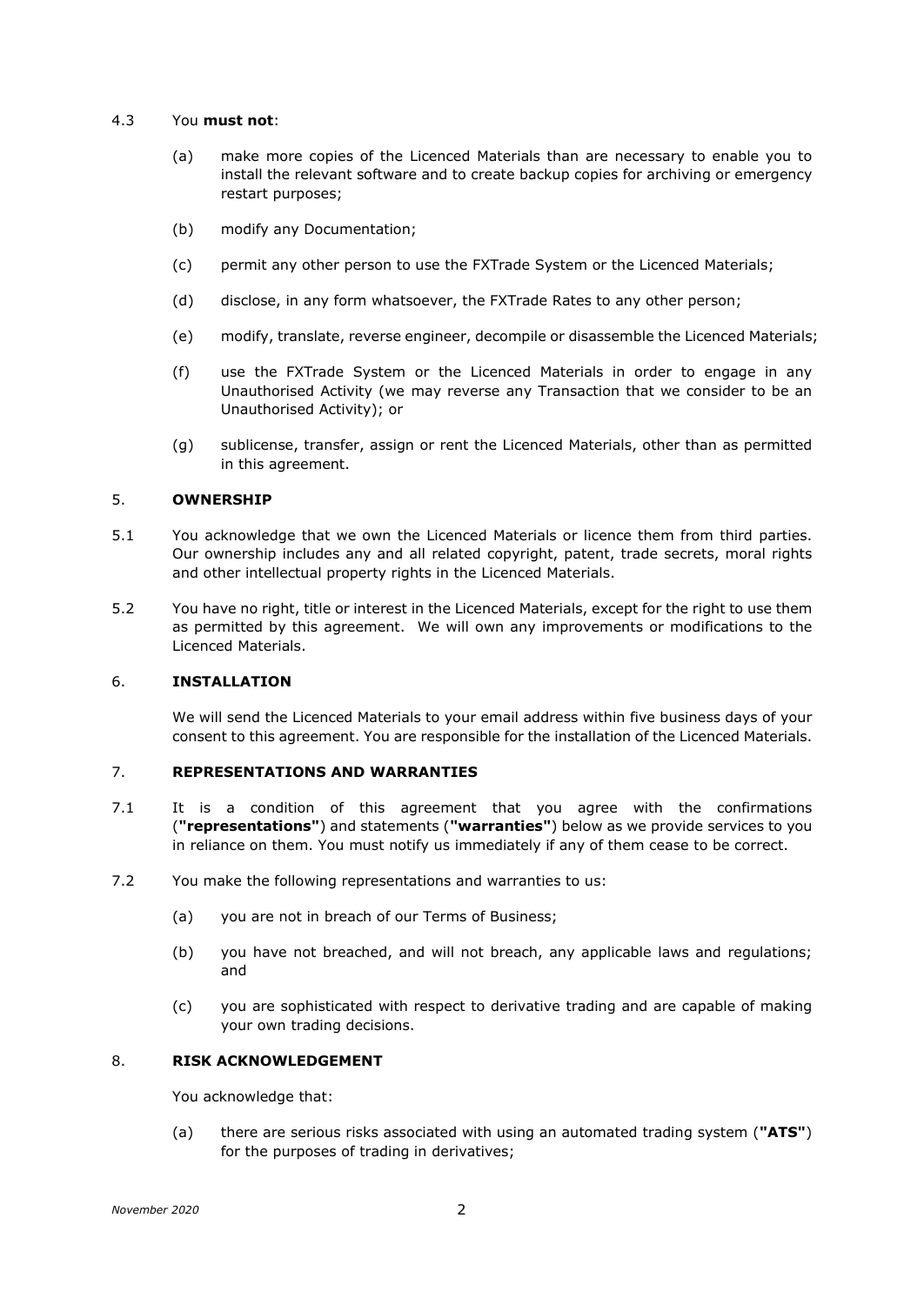### 4.3 You **must not**:

- (a) make more copies of the Licenced Materials than are necessary to enable you to install the relevant software and to create backup copies for archiving or emergency restart purposes;
- (b) modify any Documentation;
- (c) permit any other person to use the FXTrade System or the Licenced Materials;
- (d) disclose, in any form whatsoever, the FXTrade Rates to any other person;
- (e) modify, translate, reverse engineer, decompile or disassemble the Licenced Materials;
- (f) use the FXTrade System or the Licenced Materials in order to engage in any Unauthorised Activity (we may reverse any Transaction that we consider to be an Unauthorised Activity); or
- (g) sublicense, transfer, assign or rent the Licenced Materials, other than as permitted in this agreement.

### <span id="page-1-0"></span>5. **OWNERSHIP**

- 5.1 You acknowledge that we own the Licenced Materials or licence them from third parties. Our ownership includes any and all related copyright, patent, trade secrets, moral rights and other intellectual property rights in the Licenced Materials.
- 5.2 You have no right, title or interest in the Licenced Materials, except for the right to use them as permitted by this agreement. We will own any improvements or modifications to the Licenced Materials.

# 6. **INSTALLATION**

We will send the Licenced Materials to your email address within five business days of your consent to this agreement. You are responsible for the installation of the Licenced Materials.

### 7. **REPRESENTATIONS AND WARRANTIES**

- 7.1 It is a condition of this agreement that you agree with the confirmations (**"representations"**) and statements (**"warranties"**) below as we provide services to you in reliance on them. You must notify us immediately if any of them cease to be correct.
- 7.2 You make the following representations and warranties to us:
	- (a) you are not in breach of our Terms of Business;
	- (b) you have not breached, and will not breach, any applicable laws and regulations; and
	- (c) you are sophisticated with respect to derivative trading and are capable of making your own trading decisions.

# 8. **RISK ACKNOWLEDGEMENT**

You acknowledge that:

(a) there are serious risks associated with using an automated trading system (**"ATS"**) for the purposes of trading in derivatives;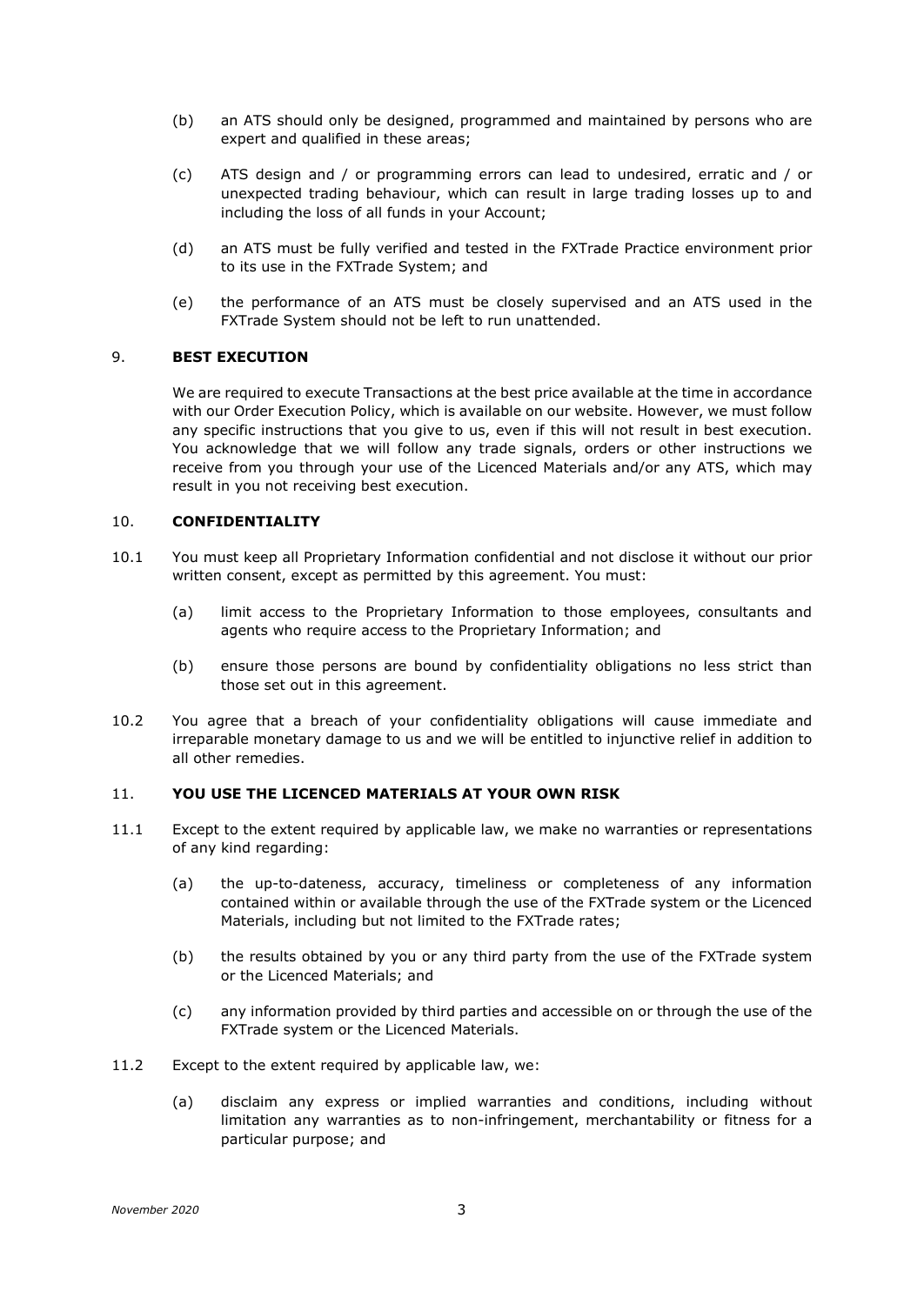- (b) an ATS should only be designed, programmed and maintained by persons who are expert and qualified in these areas;
- (c) ATS design and / or programming errors can lead to undesired, erratic and / or unexpected trading behaviour, which can result in large trading losses up to and including the loss of all funds in your Account;
- (d) an ATS must be fully verified and tested in the FXTrade Practice environment prior to its use in the FXTrade System; and
- (e) the performance of an ATS must be closely supervised and an ATS used in the FXTrade System should not be left to run unattended.

## <span id="page-2-0"></span>9. **BEST EXECUTION**

We are required to execute Transactions at the best price available at the time in accordance with our Order Execution Policy, which is available on our website. However, we must follow any specific instructions that you give to us, even if this will not result in best execution. You acknowledge that we will follow any trade signals, orders or other instructions we receive from you through your use of the Licenced Materials and/or any ATS, which may result in you not receiving best execution.

### 10. **CONFIDENTIALITY**

- 10.1 You must keep all Proprietary Information confidential and not disclose it without our prior written consent, except as permitted by this agreement. You must:
	- (a) limit access to the Proprietary Information to those employees, consultants and agents who require access to the Proprietary Information; and
	- (b) ensure those persons are bound by confidentiality obligations no less strict than those set out in this agreement.
- 10.2 You agree that a breach of your confidentiality obligations will cause immediate and irreparable monetary damage to us and we will be entitled to injunctive relief in addition to all other remedies.

## 11. **YOU USE THE LICENCED MATERIALS AT YOUR OWN RISK**

- 11.1 Except to the extent required by applicable law, we make no warranties or representations of any kind regarding:
	- (a) the up-to-dateness, accuracy, timeliness or completeness of any information contained within or available through the use of the FXTrade system or the Licenced Materials, including but not limited to the FXTrade rates;
	- (b) the results obtained by you or any third party from the use of the FXTrade system or the Licenced Materials; and
	- (c) any information provided by third parties and accessible on or through the use of the FXTrade system or the Licenced Materials.
- 11.2 Except to the extent required by applicable law, we:
	- (a) disclaim any express or implied warranties and conditions, including without limitation any warranties as to non-infringement, merchantability or fitness for a particular purpose; and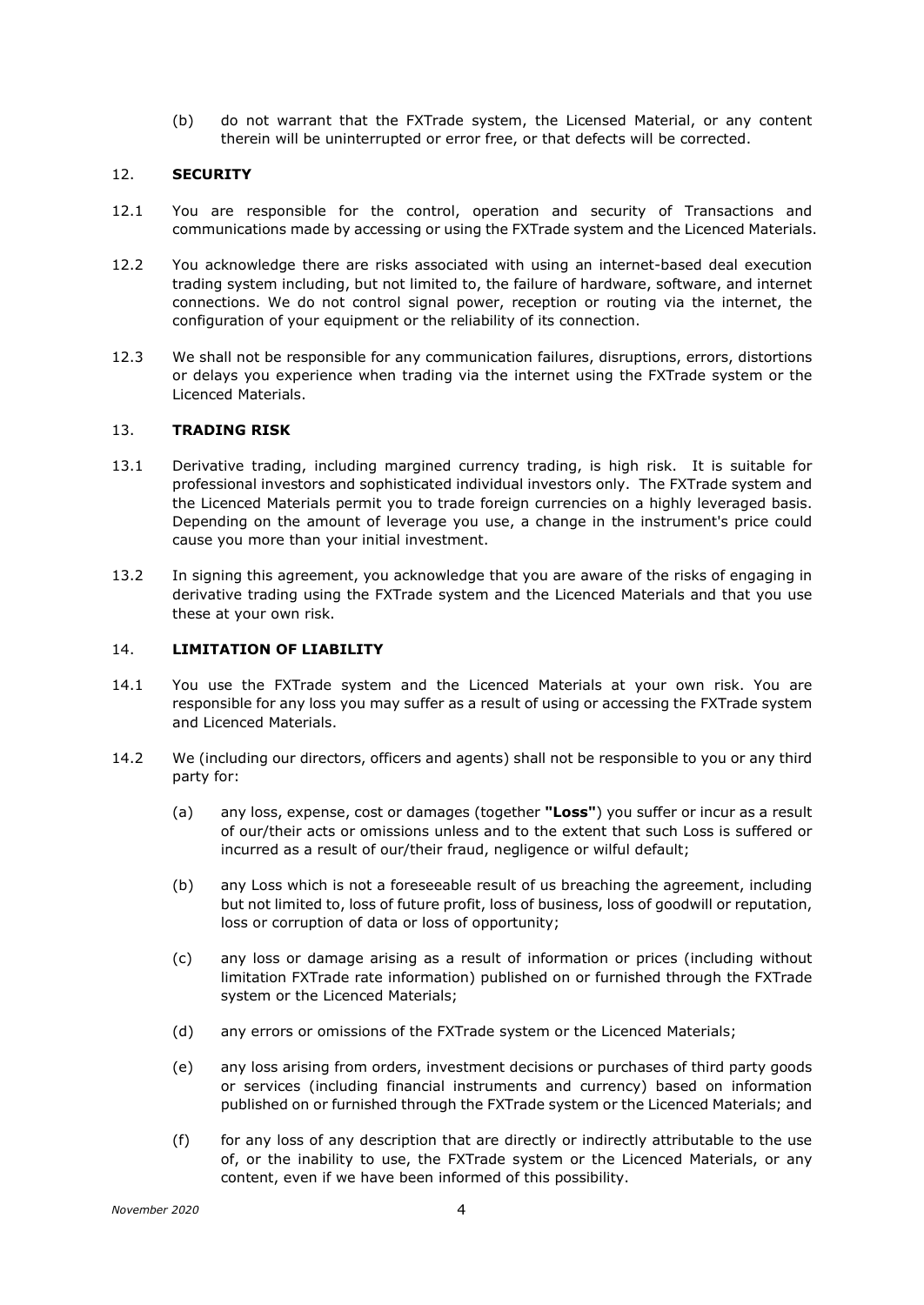(b) do not warrant that the FXTrade system, the Licensed Material, or any content therein will be uninterrupted or error free, or that defects will be corrected.

## 12. **SECURITY**

- 12.1 You are responsible for the control, operation and security of Transactions and communications made by accessing or using the FXTrade system and the Licenced Materials.
- 12.2 You acknowledge there are risks associated with using an internet-based deal execution trading system including, but not limited to, the failure of hardware, software, and internet connections. We do not control signal power, reception or routing via the internet, the configuration of your equipment or the reliability of its connection.
- 12.3 We shall not be responsible for any communication failures, disruptions, errors, distortions or delays you experience when trading via the internet using the FXTrade system or the Licenced Materials.

## 13. **TRADING RISK**

- 13.1 Derivative trading, including margined currency trading, is high risk. It is suitable for professional investors and sophisticated individual investors only. The FXTrade system and the Licenced Materials permit you to trade foreign currencies on a highly leveraged basis. Depending on the amount of leverage you use, a change in the instrument's price could cause you more than your initial investment.
- 13.2 In signing this agreement, you acknowledge that you are aware of the risks of engaging in derivative trading using the FXTrade system and the Licenced Materials and that you use these at your own risk.

# <span id="page-3-0"></span>14. **LIMITATION OF LIABILITY**

- 14.1 You use the FXTrade system and the Licenced Materials at your own risk. You are responsible for any loss you may suffer as a result of using or accessing the FXTrade system and Licenced Materials.
- 14.2 We (including our directors, officers and agents) shall not be responsible to you or any third party for:
	- (a) any loss, expense, cost or damages (together **"Loss"**) you suffer or incur as a result of our/their acts or omissions unless and to the extent that such Loss is suffered or incurred as a result of our/their fraud, negligence or wilful default;
	- (b) any Loss which is not a foreseeable result of us breaching the agreement, including but not limited to, loss of future profit, loss of business, loss of goodwill or reputation, loss or corruption of data or loss of opportunity;
	- (c) any loss or damage arising as a result of information or prices (including without limitation FXTrade rate information) published on or furnished through the FXTrade system or the Licenced Materials;
	- (d) any errors or omissions of the FXTrade system or the Licenced Materials;
	- (e) any loss arising from orders, investment decisions or purchases of third party goods or services (including financial instruments and currency) based on information published on or furnished through the FXTrade system or the Licenced Materials; and
	- (f) for any loss of any description that are directly or indirectly attributable to the use of, or the inability to use, the FXTrade system or the Licenced Materials, or any content, even if we have been informed of this possibility.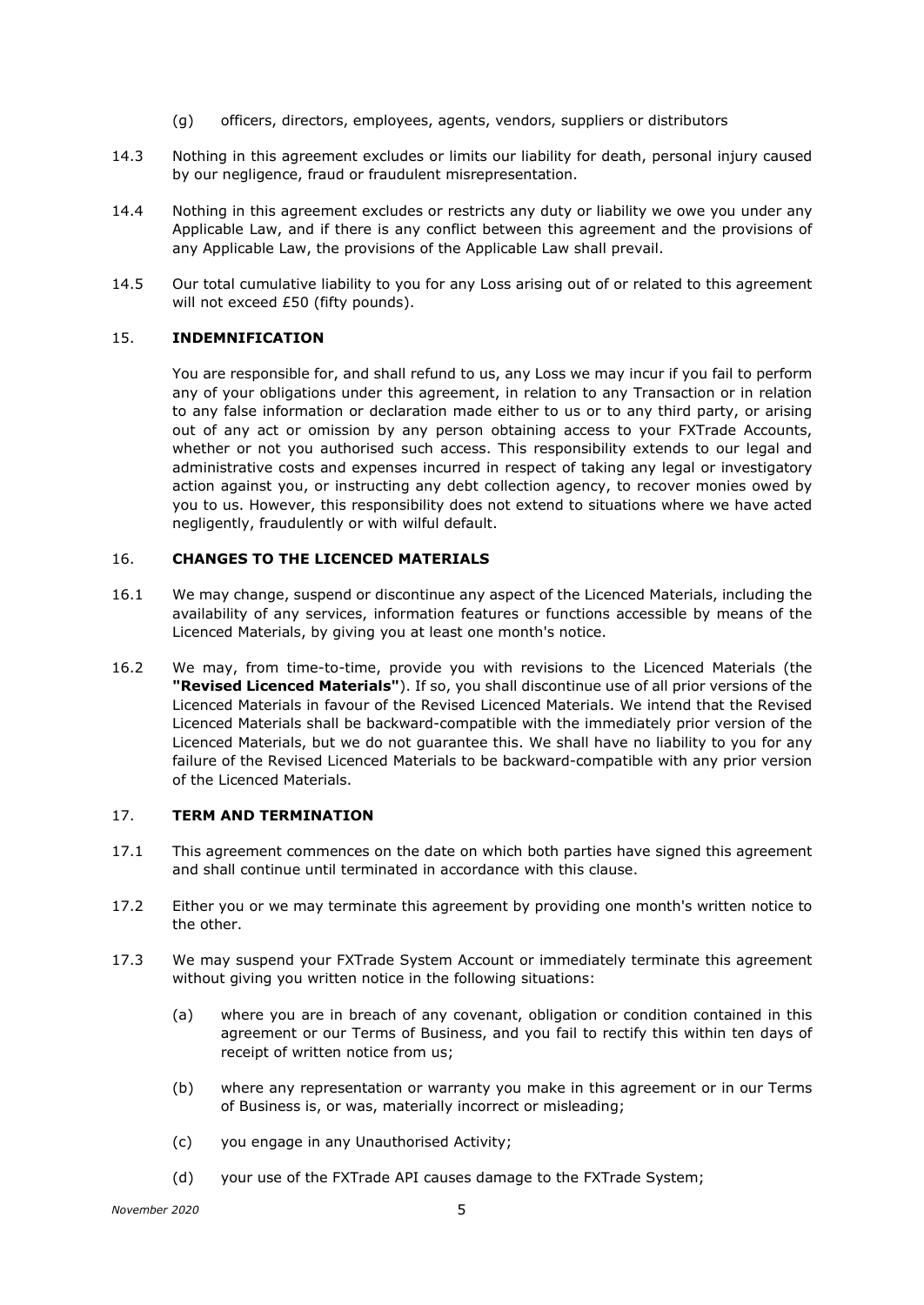- (g) officers, directors, employees, agents, vendors, suppliers or distributors
- 14.3 Nothing in this agreement excludes or limits our liability for death, personal injury caused by our negligence, fraud or fraudulent misrepresentation.
- 14.4 Nothing in this agreement excludes or restricts any duty or liability we owe you under any Applicable Law, and if there is any conflict between this agreement and the provisions of any Applicable Law, the provisions of the Applicable Law shall prevail.
- 14.5 Our total cumulative liability to you for any Loss arising out of or related to this agreement will not exceed £50 (fifty pounds).

## <span id="page-4-0"></span>15. **INDEMNIFICATION**

You are responsible for, and shall refund to us, any Loss we may incur if you fail to perform any of your obligations under this agreement, in relation to any Transaction or in relation to any false information or declaration made either to us or to any third party, or arising out of any act or omission by any person obtaining access to your FXTrade Accounts, whether or not you authorised such access. This responsibility extends to our legal and administrative costs and expenses incurred in respect of taking any legal or investigatory action against you, or instructing any debt collection agency, to recover monies owed by you to us. However, this responsibility does not extend to situations where we have acted negligently, fraudulently or with wilful default.

### 16. **CHANGES TO THE LICENCED MATERIALS**

- 16.1 We may change, suspend or discontinue any aspect of the Licenced Materials, including the availability of any services, information features or functions accessible by means of the Licenced Materials, by giving you at least one month's notice.
- 16.2 We may, from time-to-time, provide you with revisions to the Licenced Materials (the **"Revised Licenced Materials"**). If so, you shall discontinue use of all prior versions of the Licenced Materials in favour of the Revised Licenced Materials. We intend that the Revised Licenced Materials shall be backward-compatible with the immediately prior version of the Licenced Materials, but we do not guarantee this. We shall have no liability to you for any failure of the Revised Licenced Materials to be backward-compatible with any prior version of the Licenced Materials.

# 17. **TERM AND TERMINATION**

- 17.1 This agreement commences on the date on which both parties have signed this agreement and shall continue until terminated in accordance with this clause.
- 17.2 Either you or we may terminate this agreement by providing one month's written notice to the other.
- 17.3 We may suspend your FXTrade System Account or immediately terminate this agreement without giving you written notice in the following situations:
	- (a) where you are in breach of any covenant, obligation or condition contained in this agreement or our Terms of Business, and you fail to rectify this within ten days of receipt of written notice from us;
	- (b) where any representation or warranty you make in this agreement or in our Terms of Business is, or was, materially incorrect or misleading;
	- (c) you engage in any Unauthorised Activity;
	- (d) your use of the FXTrade API causes damage to the FXTrade System;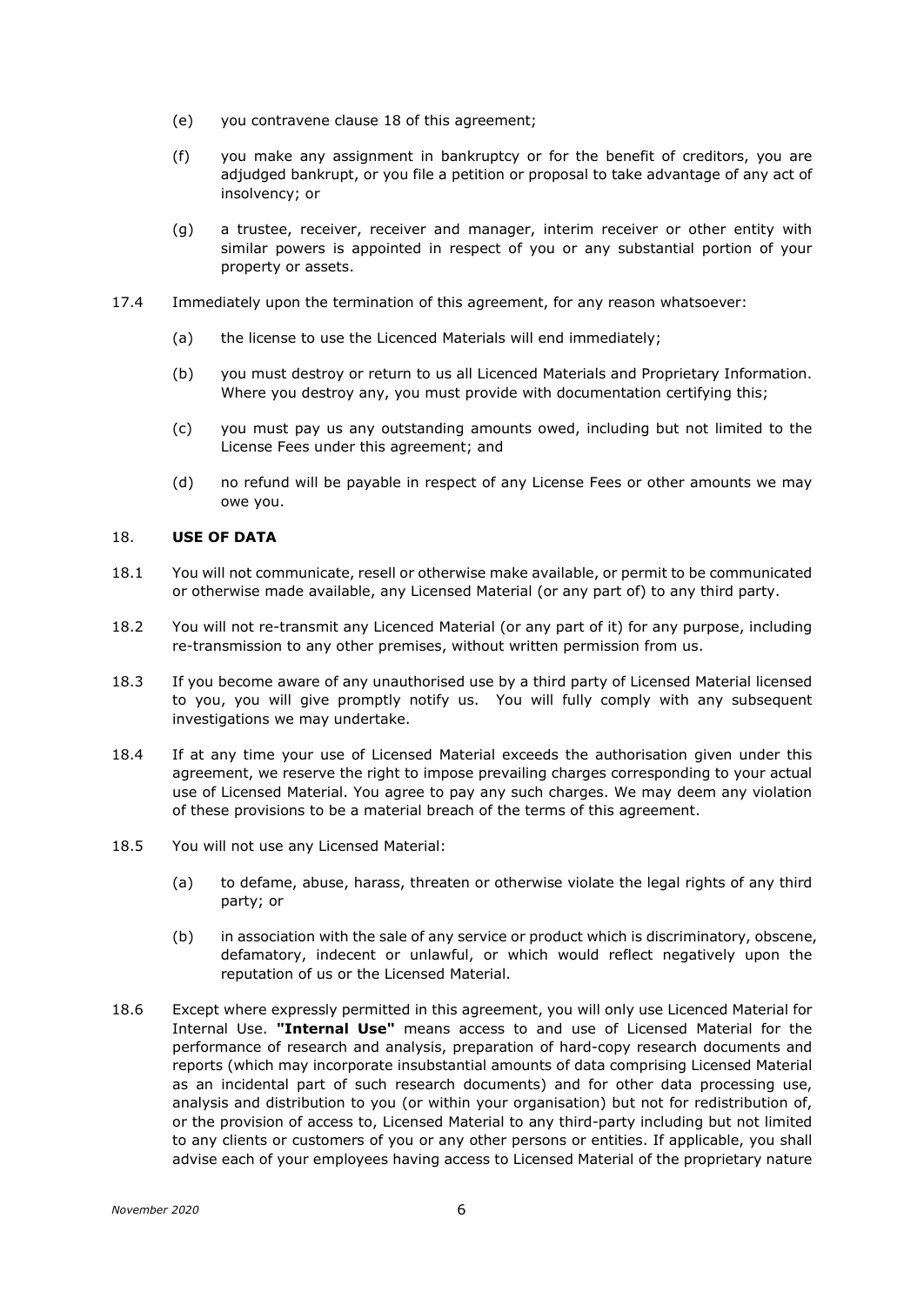- (e) you contravene clause [18](#page-5-0) of this agreement;
- (f) you make any assignment in bankruptcy or for the benefit of creditors, you are adjudged bankrupt, or you file a petition or proposal to take advantage of any act of insolvency; or
- (g) a trustee, receiver, receiver and manager, interim receiver or other entity with similar powers is appointed in respect of you or any substantial portion of your property or assets.
- 17.4 Immediately upon the termination of this agreement, for any reason whatsoever:
	- (a) the license to use the Licenced Materials will end immediately;
	- (b) you must destroy or return to us all Licenced Materials and Proprietary Information. Where you destroy any, you must provide with documentation certifying this;
	- (c) you must pay us any outstanding amounts owed, including but not limited to the License Fees under this agreement; and
	- (d) no refund will be payable in respect of any License Fees or other amounts we may owe you.

# <span id="page-5-0"></span>18. **USE OF DATA**

- 18.1 You will not communicate, resell or otherwise make available, or permit to be communicated or otherwise made available, any Licensed Material (or any part of) to any third party.
- 18.2 You will not re-transmit any Licenced Material (or any part of it) for any purpose, including re-transmission to any other premises, without written permission from us.
- 18.3 If you become aware of any unauthorised use by a third party of Licensed Material licensed to you, you will give promptly notify us. You will fully comply with any subsequent investigations we may undertake.
- 18.4 If at any time your use of Licensed Material exceeds the authorisation given under this agreement, we reserve the right to impose prevailing charges corresponding to your actual use of Licensed Material. You agree to pay any such charges. We may deem any violation of these provisions to be a material breach of the terms of this agreement.
- 18.5 You will not use any Licensed Material:
	- (a) to defame, abuse, harass, threaten or otherwise violate the legal rights of any third party; or
	- (b) in association with the sale of any service or product which is discriminatory, obscene, defamatory, indecent or unlawful, or which would reflect negatively upon the reputation of us or the Licensed Material.
- 18.6 Except where expressly permitted in this agreement, you will only use Licenced Material for Internal Use. **"Internal Use"** means access to and use of Licensed Material for the performance of research and analysis, preparation of hard-copy research documents and reports (which may incorporate insubstantial amounts of data comprising Licensed Material as an incidental part of such research documents) and for other data processing use, analysis and distribution to you (or within your organisation) but not for redistribution of, or the provision of access to, Licensed Material to any third-party including but not limited to any clients or customers of you or any other persons or entities. If applicable, you shall advise each of your employees having access to Licensed Material of the proprietary nature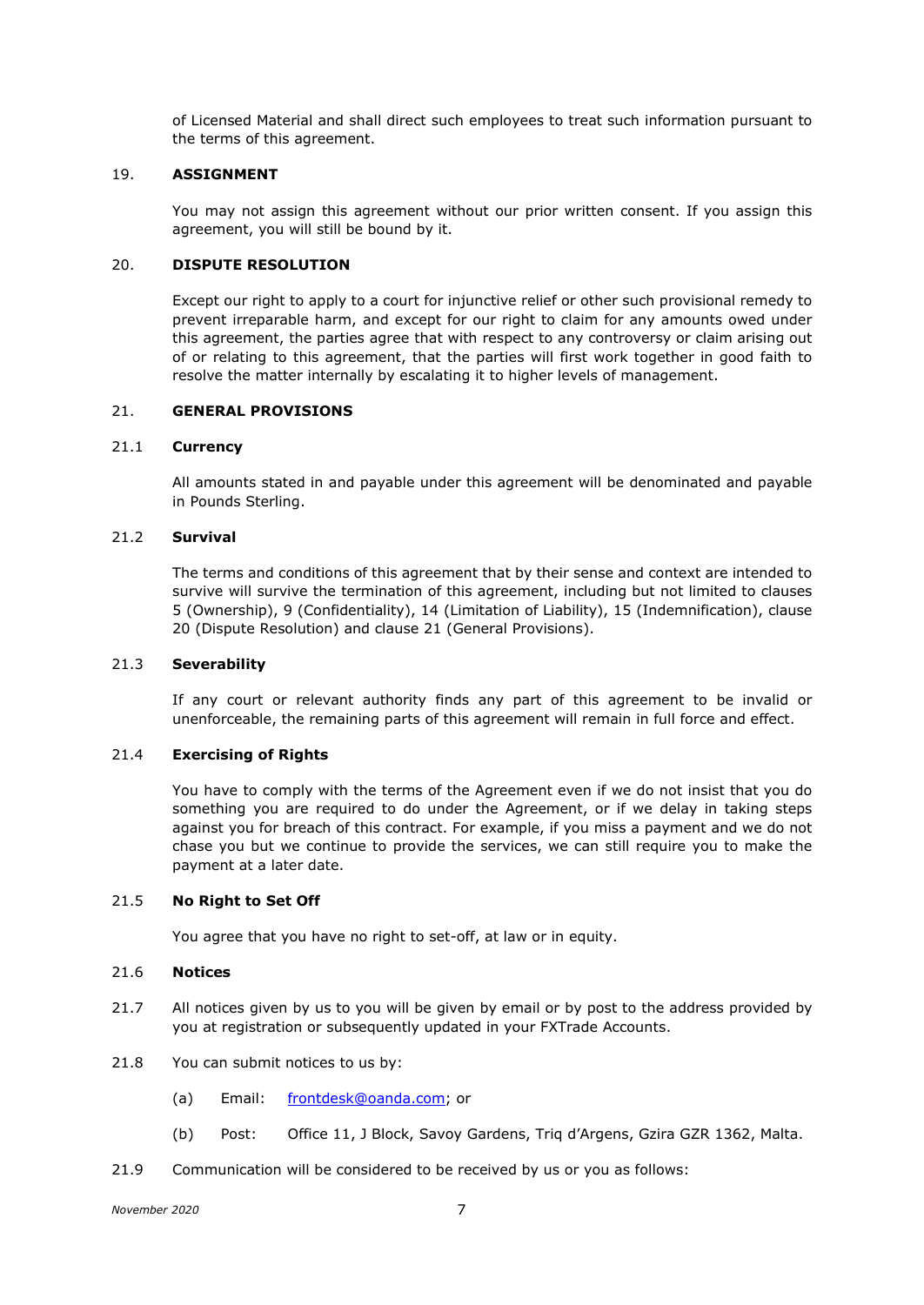of Licensed Material and shall direct such employees to treat such information pursuant to the terms of this agreement.

# 19. **ASSIGNMENT**

You may not assign this agreement without our prior written consent. If you assign this agreement, you will still be bound by it.

# <span id="page-6-0"></span>20. **DISPUTE RESOLUTION**

Except our right to apply to a court for injunctive relief or other such provisional remedy to prevent irreparable harm, and except for our right to claim for any amounts owed under this agreement, the parties agree that with respect to any controversy or claim arising out of or relating to this agreement, that the parties will first work together in good faith to resolve the matter internally by escalating it to higher levels of management.

# <span id="page-6-1"></span>21. **GENERAL PROVISIONS**

### 21.1 **Currency**

All amounts stated in and payable under this agreement will be denominated and payable in Pounds Sterling.

### 21.2 **Survival**

The terms and conditions of this agreement that by their sense and context are intended to survive will survive the termination of this agreement, including but not limited to clauses [5](#page-1-0) (Ownership), [9](#page-2-0) (Confidentiality), [14](#page-3-0) (Limitation of Liability), [15](#page-4-0) (Indemnification), clause [20](#page-6-0) (Dispute Resolution) and clause [21](#page-6-1) (General Provisions).

### 21.3 **Severability**

If any court or relevant authority finds any part of this agreement to be invalid or unenforceable, the remaining parts of this agreement will remain in full force and effect.

### 21.4 **Exercising of Rights**

You have to comply with the terms of the Agreement even if we do not insist that you do something you are required to do under the Agreement, or if we delay in taking steps against you for breach of this contract. For example, if you miss a payment and we do not chase you but we continue to provide the services, we can still require you to make the payment at a later date.

### 21.5 **No Right to Set Off**

You agree that you have no right to set-off, at law or in equity.

### 21.6 **Notices**

- 21.7 All notices given by us to you will be given by email or by post to the address provided by you at registration or subsequently updated in your FXTrade Accounts.
- 21.8 You can submit notices to us by:
	- (a) Email: [frontdesk@oanda.com;](mailto:frontdesk@oanda.com) or
	- (b) Post: Office 11, J Block, Savoy Gardens, Triq d'Argens, Gzira GZR 1362, Malta.
- 21.9 Communication will be considered to be received by us or you as follows: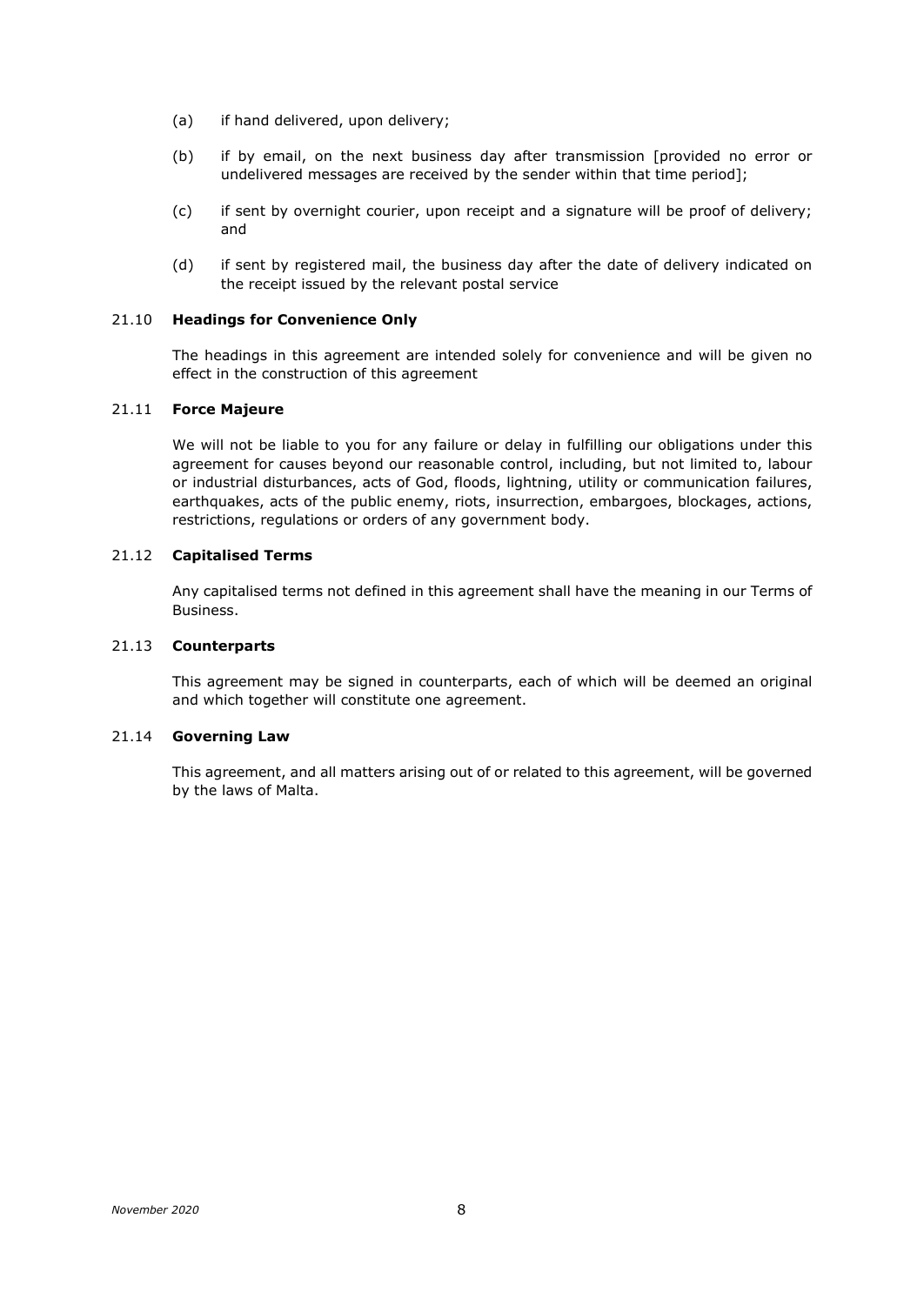- (a) if hand delivered, upon delivery;
- (b) if by email, on the next business day after transmission [provided no error or undelivered messages are received by the sender within that time period];
- (c) if sent by overnight courier, upon receipt and a signature will be proof of delivery; and
- (d) if sent by registered mail, the business day after the date of delivery indicated on the receipt issued by the relevant postal service

## 21.10 **Headings for Convenience Only**

The headings in this agreement are intended solely for convenience and will be given no effect in the construction of this agreement

# 21.11 **Force Majeure**

We will not be liable to you for any failure or delay in fulfilling our obligations under this agreement for causes beyond our reasonable control, including, but not limited to, labour or industrial disturbances, acts of God, floods, lightning, utility or communication failures, earthquakes, acts of the public enemy, riots, insurrection, embargoes, blockages, actions, restrictions, regulations or orders of any government body.

### 21.12 **Capitalised Terms**

Any capitalised terms not defined in this agreement shall have the meaning in our Terms of Business.

# 21.13 **Counterparts**

This agreement may be signed in counterparts, each of which will be deemed an original and which together will constitute one agreement.

### 21.14 **Governing Law**

This agreement, and all matters arising out of or related to this agreement, will be governed by the laws of Malta.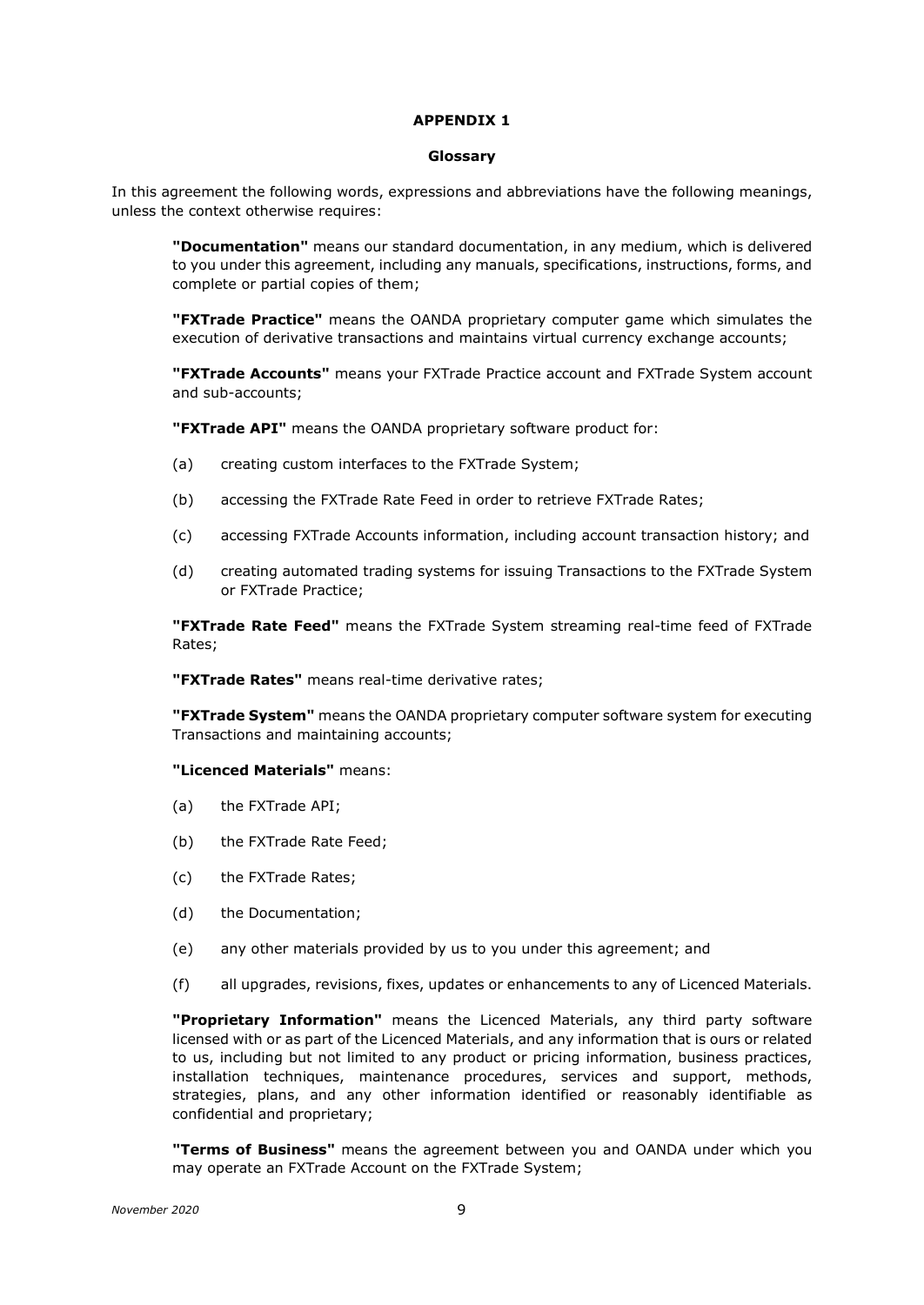# **APPENDIX 1**

### **Glossary**

In this agreement the following words, expressions and abbreviations have the following meanings, unless the context otherwise requires:

**"Documentation"** means our standard documentation, in any medium, which is delivered to you under this agreement, including any manuals, specifications, instructions, forms, and complete or partial copies of them;

**"FXTrade Practice"** means the OANDA proprietary computer game which simulates the execution of derivative transactions and maintains virtual currency exchange accounts;

**"FXTrade Accounts"** means your FXTrade Practice account and FXTrade System account and sub-accounts;

**"FXTrade API"** means the OANDA proprietary software product for:

- (a) creating custom interfaces to the FXTrade System;
- (b) accessing the FXTrade Rate Feed in order to retrieve FXTrade Rates;
- (c) accessing FXTrade Accounts information, including account transaction history; and
- (d) creating automated trading systems for issuing Transactions to the FXTrade System or FXTrade Practice;

**"FXTrade Rate Feed"** means the FXTrade System streaming real-time feed of FXTrade Rates;

**"FXTrade Rates"** means real-time derivative rates;

**"FXTrade System"** means the OANDA proprietary computer software system for executing Transactions and maintaining accounts;

#### **"Licenced Materials"** means:

- (a) the FXTrade API;
- (b) the FXTrade Rate Feed;
- (c) the FXTrade Rates;
- (d) the Documentation;
- (e) any other materials provided by us to you under this agreement; and
- (f) all upgrades, revisions, fixes, updates or enhancements to any of Licenced Materials.

**"Proprietary Information"** means the Licenced Materials, any third party software licensed with or as part of the Licenced Materials, and any information that is ours or related to us, including but not limited to any product or pricing information, business practices, installation techniques, maintenance procedures, services and support, methods, strategies, plans, and any other information identified or reasonably identifiable as confidential and proprietary;

**"Terms of Business"** means the agreement between you and OANDA under which you may operate an FXTrade Account on the FXTrade System;